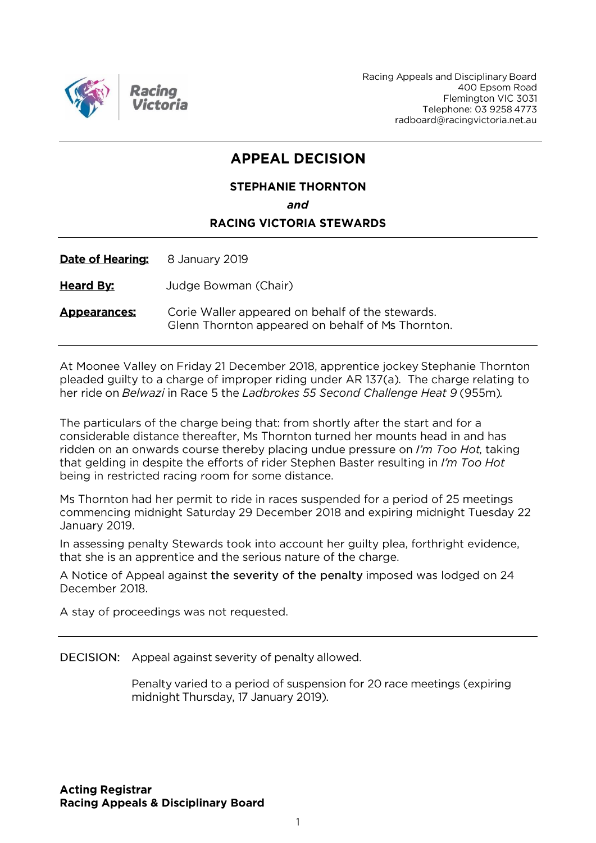

Racing Appeals and Disciplinary Board 400 Epsom Road Flemington VIC 3031 Telephone: 03 9258 4773 radboard@racingvictoria.net.au

# **APPEAL DECISION**

# **STEPHANIE THORNTON** and **RACING VICTORIA STEWARDS**

Date of Hearing: 8 January 2019

**Heard By:** Judge Bowman (Chair)

Corie Waller appeared on behalf of the stewards. **Appearances:** Glenn Thornton appeared on behalf of Ms Thornton.

At Moonee Valley on Friday 21 December 2018, apprentice jockey Stephanie Thornton pleaded guilty to a charge of improper riding under AR 137(a). The charge relating to her ride on Belwazi in Race 5 the Ladbrokes 55 Second Challenge Heat 9 (955m).

The particulars of the charge being that: from shortly after the start and for a considerable distance thereafter, Ms Thornton turned her mounts head in and has ridden on an onwards course thereby placing undue pressure on I'm Too Hot, taking that gelding in despite the efforts of rider Stephen Baster resulting in I'm Too Hot being in restricted racing room for some distance.

Ms Thornton had her permit to ride in races suspended for a period of 25 meetings commencing midnight Saturday 29 December 2018 and expiring midnight Tuesday 22 January 2019.

In assessing penalty Stewards took into account her guilty plea, forthright evidence, that she is an apprentice and the serious nature of the charge.

A Notice of Appeal against the severity of the penalty imposed was lodged on 24 December 2018.

A stay of proceedings was not requested.

DECISION: Appeal against severity of penalty allowed.

Penalty varied to a period of suspension for 20 race meetings (expiring midnight Thursday, 17 January 2019).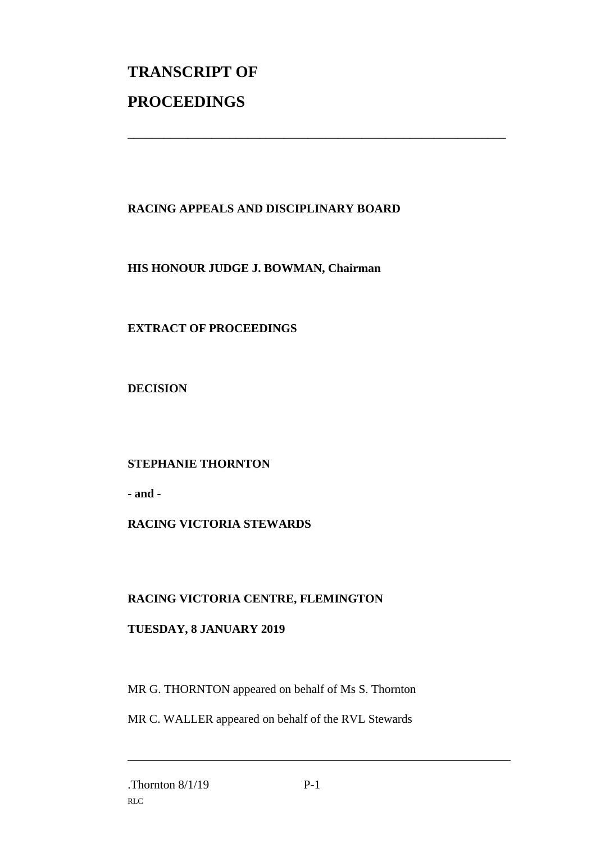# **TRANSCRIPT OF PROCEEDINGS**

# **RACING APPEALS AND DISCIPLINARY BOARD**

\_\_\_\_\_\_\_\_\_\_\_\_\_\_\_\_\_\_\_\_\_\_\_\_\_\_\_\_\_\_\_\_\_\_\_\_\_\_\_\_\_\_\_\_\_\_\_\_\_\_\_\_\_\_\_\_\_\_\_\_\_\_\_

#### **HIS HONOUR JUDGE J. BOWMAN, Chairman**

### **EXTRACT OF PROCEEDINGS**

**DECISION**

### **STEPHANIE THORNTON**

**- and -**

#### **RACING VICTORIA STEWARDS**

#### **RACING VICTORIA CENTRE, FLEMINGTON**

#### **TUESDAY, 8 JANUARY 2019**

MR G. THORNTON appeared on behalf of Ms S. Thornton

MR C. WALLER appeared on behalf of the RVL Stewards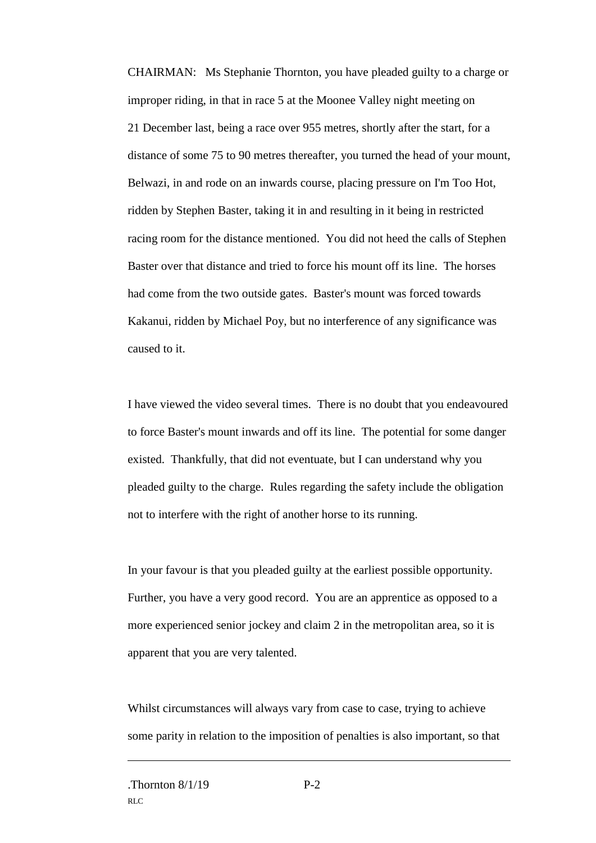CHAIRMAN: Ms Stephanie Thornton, you have pleaded guilty to a charge or improper riding, in that in race 5 at the Moonee Valley night meeting on 21 December last, being a race over 955 metres, shortly after the start, for a distance of some 75 to 90 metres thereafter, you turned the head of your mount, Belwazi, in and rode on an inwards course, placing pressure on I'm Too Hot, ridden by Stephen Baster, taking it in and resulting in it being in restricted racing room for the distance mentioned. You did not heed the calls of Stephen Baster over that distance and tried to force his mount off its line. The horses had come from the two outside gates. Baster's mount was forced towards Kakanui, ridden by Michael Poy, but no interference of any significance was caused to it.

I have viewed the video several times. There is no doubt that you endeavoured to force Baster's mount inwards and off its line. The potential for some danger existed. Thankfully, that did not eventuate, but I can understand why you pleaded guilty to the charge. Rules regarding the safety include the obligation not to interfere with the right of another horse to its running.

In your favour is that you pleaded guilty at the earliest possible opportunity. Further, you have a very good record. You are an apprentice as opposed to a more experienced senior jockey and claim 2 in the metropolitan area, so it is apparent that you are very talented.

Whilst circumstances will always vary from case to case, trying to achieve some parity in relation to the imposition of penalties is also important, so that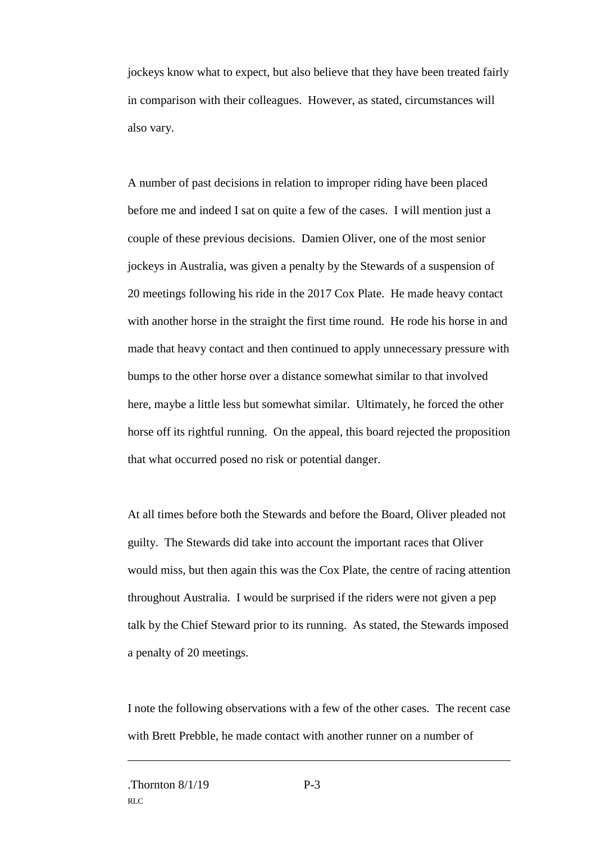jockeys know what to expect, but also believe that they have been treated fairly in comparison with their colleagues. However, as stated, circumstances will also vary.

A number of past decisions in relation to improper riding have been placed before me and indeed I sat on quite a few of the cases. I will mention just a couple of these previous decisions. Damien Oliver, one of the most senior jockeys in Australia, was given a penalty by the Stewards of a suspension of 20 meetings following his ride in the 2017 Cox Plate. He made heavy contact with another horse in the straight the first time round. He rode his horse in and made that heavy contact and then continued to apply unnecessary pressure with bumps to the other horse over a distance somewhat similar to that involved here, maybe a little less but somewhat similar. Ultimately, he forced the other horse off its rightful running. On the appeal, this board rejected the proposition that what occurred posed no risk or potential danger.

At all times before both the Stewards and before the Board, Oliver pleaded not guilty. The Stewards did take into account the important races that Oliver would miss, but then again this was the Cox Plate, the centre of racing attention throughout Australia. I would be surprised if the riders were not given a pep talk by the Chief Steward prior to its running. As stated, the Stewards imposed a penalty of 20 meetings.

I note the following observations with a few of the other cases. The recent case with Brett Prebble, he made contact with another runner on a number of